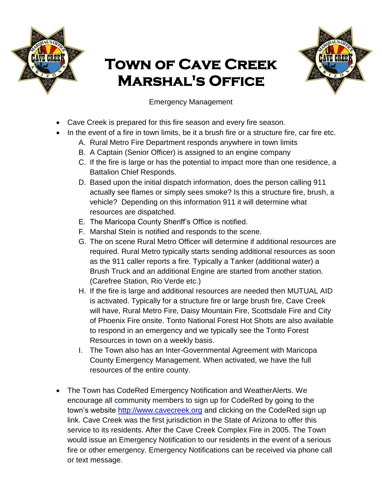

## **Town of Cave Creek Marshal's Office**



Emergency Management

- Cave Creek is prepared for this fire season and every fire season.
- In the event of a fire in town limits, be it a brush fire or a structure fire, car fire etc.
	- A. Rural Metro Fire Department responds anywhere in town limits
	- B. A Captain (Senior Officer) is assigned to an engine company
	- C. If the fire is large or has the potential to impact more than one residence, a Battalion Chief Responds.
	- D. Based upon the initial dispatch information, does the person calling 911 actually see flames or simply sees smoke? Is this a structure fire, brush, a vehicle? Depending on this information 911 it will determine what resources are dispatched.
	- E. The Maricopa County Sheriff's Office is notified.
	- F. Marshal Stein is notified and responds to the scene.
	- G. The on scene Rural Metro Officer will determine if additional resources are required. Rural Metro typically starts sending additional resources as soon as the 911 caller reports a fire. Typically a Tanker (additional water) a Brush Truck and an additional Engine are started from another station. (Carefree Station, Rio Verde etc.)
	- H. If the fire is large and additional resources are needed then MUTUAL AID is activated. Typically for a structure fire or large brush fire, Cave Creek will have, Rural Metro Fire, Daisy Mountain Fire, Scottsdale Fire and City of Phoenix Fire onsite. Tonto National Forest Hot Shots are also available to respond in an emergency and we typically see the Tonto Forest Resources in town on a weekly basis.
	- I. The Town also has an Inter-Governmental Agreement with Maricopa County Emergency Management. When activated, we have the full resources of the entire county.
- The Town has CodeRed Emergency Notification and WeatherAlerts. We encourage all community members to sign up for CodeRed by going to the town's website [http://www.cavecreek.org](http://www.cavecreek.org/index.aspx?NID=230) and clicking on the CodeRed sign up link. Cave Creek was the first jurisdiction in the State of Arizona to offer this service to its residents. After the Cave Creek Complex Fire in 2005. The Town would issue an Emergency Notification to our residents in the event of a serious fire or other emergency. Emergency Notifications can be received via phone call or text message.